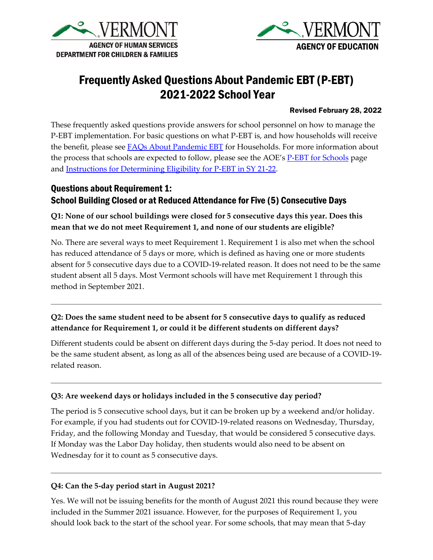



# Frequently Asked Questions About Pandemic EBT (P-EBT) 2021-2022 School Year

#### Revised February 28, 2022

These frequently asked questions provide answers for school personnel on how to manage the P-EBT implementation. For basic questions on what P-EBT is, and how households will receive the benefit, please see **FAQs About Pandemic EBT** for Households. For more information about the process that schools are expected to follow, please see the AOE's [P-EBT for Schools](https://education.vermont.gov/covid-19/pandemic-ebt-for-schools) page and [Instructions for Determining Eligibility for P-EBT in SY 21-22.](https://education.vermont.gov/sites/aoe/files/documents/edu-instructions-for-determining-eligibility-for-p-ebt-in-sy-21-22.pdf)

# Questions about Requirement 1: School Building Closed or at Reduced Attendance for Five (5) Consecutive Days

### **Q1: None of our school buildings were closed for 5 consecutive days this year. Does this mean that we do not meet Requirement 1, and none of our students are eligible?**

No. There are several ways to meet Requirement 1. Requirement 1 is also met when the school has reduced attendance of 5 days or more, which is defined as having one or more students absent for 5 consecutive days due to a COVID-19-related reason. It does not need to be the same student absent all 5 days. Most Vermont schools will have met Requirement 1 through this method in September 2021.

#### **Q2: Does the same student need to be absent for 5 consecutive days to qualify as reduced attendance for Requirement 1, or could it be different students on different days?**

Different students could be absent on different days during the 5-day period. It does not need to be the same student absent, as long as all of the absences being used are because of a COVID-19 related reason.

#### **Q3: Are weekend days or holidays included in the 5 consecutive day period?**

The period is 5 consecutive school days, but it can be broken up by a weekend and/or holiday. For example, if you had students out for COVID-19-related reasons on Wednesday, Thursday, Friday, and the following Monday and Tuesday, that would be considered 5 consecutive days. If Monday was the Labor Day holiday, then students would also need to be absent on Wednesday for it to count as 5 consecutive days.

#### **Q4: Can the 5-day period start in August 2021?**

Yes. We will not be issuing benefits for the month of August 2021 this round because they were included in the Summer 2021 issuance. However, for the purposes of Requirement 1, you should look back to the start of the school year. For some schools, that may mean that 5-day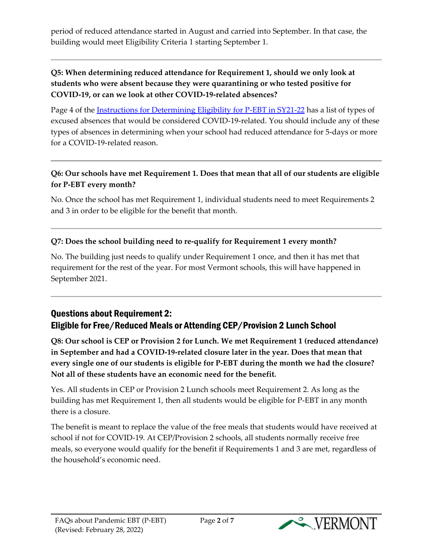period of reduced attendance started in August and carried into September. In that case, the building would meet Eligibility Criteria 1 starting September 1.

### **Q5: When determining reduced attendance for Requirement 1, should we only look at students who were absent because they were quarantining or who tested positive for COVID-19, or can we look at other COVID-19-related absences?**

Page 4 of the [Instructions for Determining Eligibility for P-EBT in SY21-22](https://education.vermont.gov/documents/edu-instructions-for-determining-eligibility-for-p-ebt-in-sy-21-22) has a list of types of excused absences that would be considered COVID-19-related. You should include any of these types of absences in determining when your school had reduced attendance for 5-days or more for a COVID-19-related reason.

# **Q6: Our schools have met Requirement 1. Does that mean that all of our students are eligible for P-EBT every month?**

No. Once the school has met Requirement 1, individual students need to meet Requirements 2 and 3 in order to be eligible for the benefit that month.

# **Q7: Does the school building need to re-qualify for Requirement 1 every month?**

No. The building just needs to qualify under Requirement 1 once, and then it has met that requirement for the rest of the year. For most Vermont schools, this will have happened in September 2021.

# Questions about Requirement 2: Eligible for Free/Reduced Meals or Attending CEP/Provision 2 Lunch School

**Q8: Our school is CEP or Provision 2 for Lunch. We met Requirement 1 (reduced attendance) in September and had a COVID-19-related closure later in the year. Does that mean that every single one of our students is eligible for P-EBT during the month we had the closure? Not all of these students have an economic need for the benefit.** 

Yes. All students in CEP or Provision 2 Lunch schools meet Requirement 2. As long as the building has met Requirement 1, then all students would be eligible for P-EBT in any month there is a closure.

The benefit is meant to replace the value of the free meals that students would have received at school if not for COVID-19. At CEP/Provision 2 schools, all students normally receive free meals, so everyone would qualify for the benefit if Requirements 1 and 3 are met, regardless of the household's economic need.

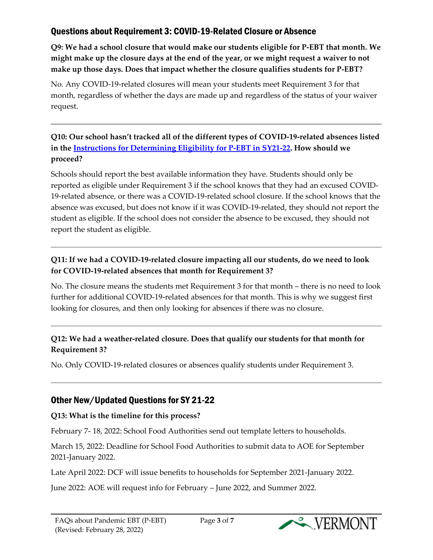# Questions about Requirement 3: COVID-19-Related Closure or Absence

**Q9: We had a school closure that would make our students eligible for P-EBT that month. We might make up the closure days at the end of the year, or we might request a waiver to not make up those days. Does that impact whether the closure qualifies students for P-EBT?**

No. Any COVID-19-related closures will mean your students meet Requirement 3 for that month, regardless of whether the days are made up and regardless of the status of your waiver request.

# **Q10: Our school hasn't tracked all of the different types of COVID-19-related absences listed in the [Instructions for Determining Eligibility for P-EBT in SY21-22.](https://education.vermont.gov/documents/edu-instructions-for-determining-eligibility-for-p-ebt-in-sy-21-22) How should we proceed?**

Schools should report the best available information they have. Students should only be reported as eligible under Requirement 3 if the school knows that they had an excused COVID-19-related absence, or there was a COVID-19-related school closure. If the school knows that the absence was excused, but does not know if it was COVID-19-related, they should not report the student as eligible. If the school does not consider the absence to be excused, they should not report the student as eligible.

# **Q11: If we had a COVID-19-related closure impacting all our students, do we need to look for COVID-19-related absences that month for Requirement 3?**

No. The closure means the students met Requirement 3 for that month – there is no need to look further for additional COVID-19-related absences for that month. This is why we suggest first looking for closures, and then only looking for absences if there was no closure.

# **Q12: We had a weather-related closure. Does that qualify our students for that month for Requirement 3?**

No. Only COVID-19-related closures or absences qualify students under Requirement 3.

# Other New/Updated Questions for SY 21-22

### **Q13: What is the timeline for this process?**

February 7- 18, 2022: School Food Authorities send out template letters to households.

March 15, 2022: Deadline for School Food Authorities to submit data to AOE for September 2021-January 2022.

Late April 2022: DCF will issue benefits to households for September 2021-January 2022.

June 2022: AOE will request info for February – June 2022, and Summer 2022.

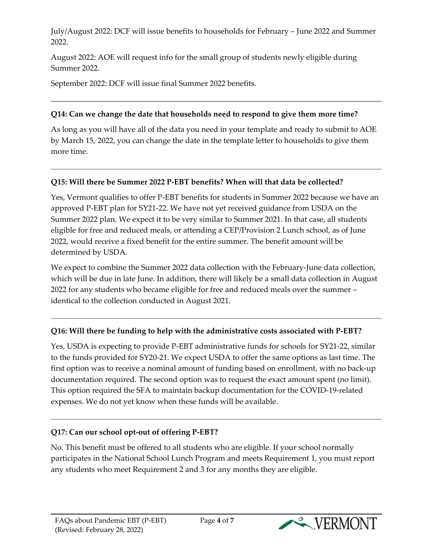July/August 2022: DCF will issue benefits to households for February – June 2022 and Summer 2022.

August 2022: AOE will request info for the small group of students newly eligible during Summer 2022.

September 2022: DCF will issue final Summer 2022 benefits.

### **Q14: Can we change the date that households need to respond to give them more time?**

As long as you will have all of the data you need in your template and ready to submit to AOE by March 15, , 2022, you can change the date in the template letter to households to give them more time.

# **Q15: Will there be Summer 2022 P-EBT benefits? When will that data be collected?**

Yes, Vermont qualifies to offer P-EBT benefits for students in Summer 2022 because we have an approved P-EBT plan for SY21-22. We have not yet received guidance from USDA on the Summer 2022 plan. We expect it to be very similar to Summer 2021. In that case, all students eligible for free and reduced meals, or attending a CEP/Provision 2 Lunch school, as of June 2022, would receive a fixed benefit for the entire summer. The benefit amount will be determined by USDA.

We expect to combine the Summer 2022 data collection with the February-June data collection, which will be due in late June. In addition, there will likely be a small data collection in August 2022 for any students who became eligible for free and reduced meals over the summer – identical to the collection conducted in August 2021.

# **Q16: Will there be funding to help with the administrative costs associated with P-EBT?**

Yes, USDA is expecting to provide P-EBT administrative funds for schools for SY21-22, similar to the funds provided for SY20-21. We expect USDA to offer the same options as last time. The first option was to receive a nominal amount of funding based on enrollment, with no back-up documentation required. The second option was to request the exact amount spent (no limit). This option required the SFA to maintain backup documentation for the COVID-19-related expenses. We do not yet know when these funds will be available.

# **Q17: Can our school opt-out of offering P-EBT?**

No. This benefit must be offered to all students who are eligible. If your school normally participates in the National School Lunch Program and meets Requirement 1, you must report any students who meet Requirement 2 and 3 for any months they are eligible.

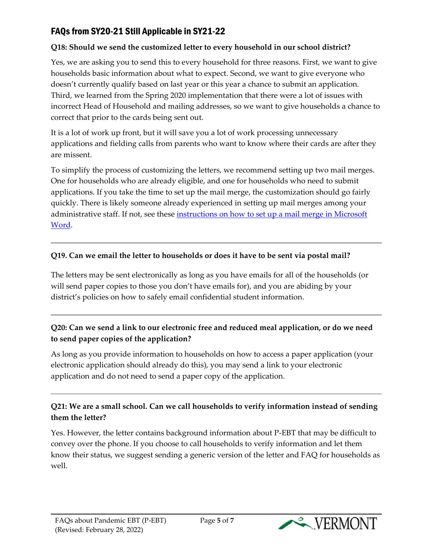# FAQs from SY20-21 Still Applicable in SY21-22

#### **Q18: Should we send the customized letter to every household in our school district?**

Yes, we are asking you to send this to every household for three reasons. First, we want to give households basic information about what to expect. Second, we want to give everyone who doesn't currently qualify based on last year or this year a chance to submit an application. Third, we learned from the Spring 2020 implementation that there were a lot of issues with incorrect Head of Household and mailing addresses, so we want to give households a chance to correct that prior to the cards being sent out.

It is a lot of work up front, but it will save you a lot of work processing unnecessary applications and fielding calls from parents who want to know where their cards are after they are missent.

To simplify the process of customizing the letters, we recommend setting up two mail merges. One for households who are already eligible, and one for households who need to submit applications. If you take the time to set up the mail merge, the customization should go fairly quickly. There is likely someone already experienced in setting up mail merges among your administrative staff. If not, see these [instructions on how to set up a mail merge in Microsoft](https://support.microsoft.com/en-us/office/use-mail-merge-to-personalize-letters-d7686bb1-3077-4af3-926b-8c825e9505a3)  [Word.](https://support.microsoft.com/en-us/office/use-mail-merge-to-personalize-letters-d7686bb1-3077-4af3-926b-8c825e9505a3)

#### **Q19. Can we email the letter to households or does it have to be sent via postal mail?**

The letters may be sent electronically as long as you have emails for all of the households (or will send paper copies to those you don't have emails for), and you are abiding by your district's policies on how to safely email confidential student information.

# **Q20: Can we send a link to our electronic free and reduced meal application, or do we need to send paper copies of the application?**

As long as you provide information to households on how to access a paper application (your electronic application should already do this), you may send a link to your electronic application and do not need to send a paper copy of the application.

# **Q21: We are a small school. Can we call households to verify information instead of sending them the letter?**

Yes. However, the letter contains background information about P-EBT that may be difficult to convey over the phone. If you choose to call households to verify information and let them know their status, we suggest sending a generic version of the letter and FAQ for households as well.

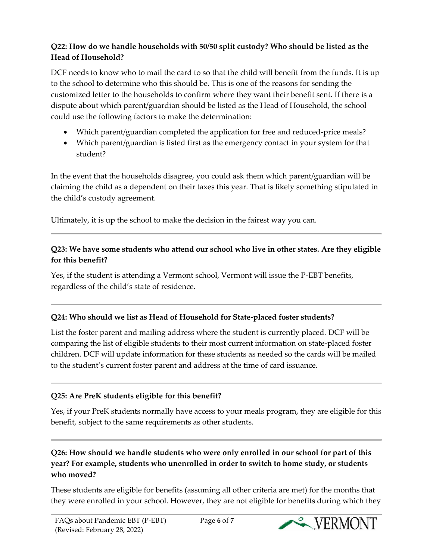# **Q22: How do we handle households with 50/50 split custody? Who should be listed as the Head of Household?**

DCF needs to know who to mail the card to so that the child will benefit from the funds. It is up to the school to determine who this should be. This is one of the reasons for sending the customized letter to the households to confirm where they want their benefit sent. If there is a dispute about which parent/guardian should be listed as the Head of Household, the school could use the following factors to make the determination:

- Which parent/guardian completed the application for free and reduced-price meals?
- Which parent/guardian is listed first as the emergency contact in your system for that student?

In the event that the households disagree, you could ask them which parent/guardian will be claiming the child as a dependent on their taxes this year. That is likely something stipulated in the child's custody agreement.

Ultimately, it is up the school to make the decision in the fairest way you can.

# **Q23: We have some students who attend our school who live in other states. Are they eligible for this benefit?**

Yes, if the student is attending a Vermont school, Vermont will issue the P-EBT benefits, regardless of the child's state of residence.

# **Q24: Who should we list as Head of Household for State-placed foster students?**

List the foster parent and mailing address where the student is currently placed. DCF will be comparing the list of eligible students to their most current information on state-placed foster children. DCF will update information for these students as needed so the cards will be mailed to the student's current foster parent and address at the time of card issuance.

# **Q25: Are PreK students eligible for this benefit?**

Yes, if your PreK students normally have access to your meals program, they are eligible for this benefit, subject to the same requirements as other students.

# **Q26: How should we handle students who were only enrolled in our school for part of this year? For example, students who unenrolled in order to switch to home study, or students who moved?**

These students are eligible for benefits (assuming all other criteria are met) for the months that they were enrolled in your school. However, they are not eligible for benefits during which they